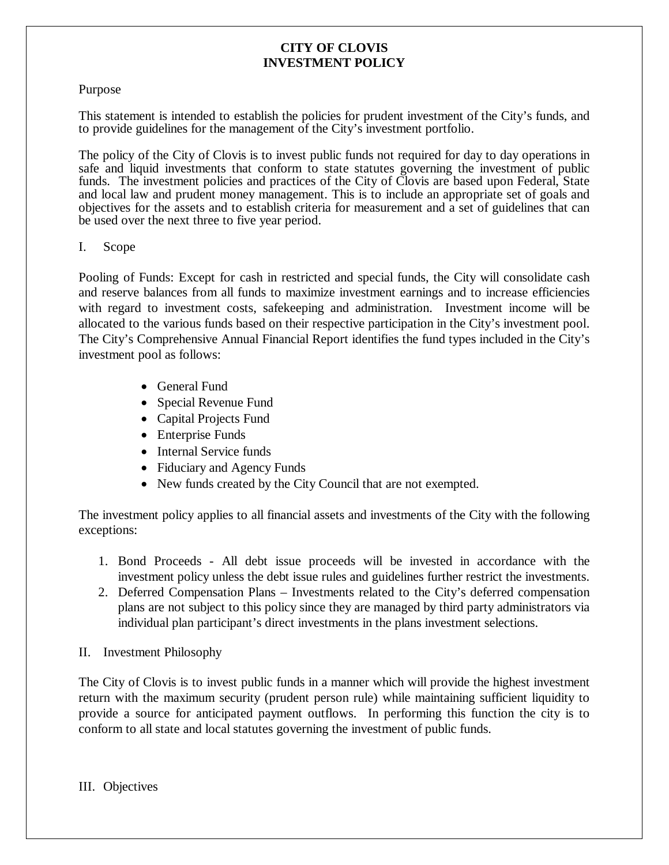### Purpose

This statement is intended to establish the policies for prudent investment of the City's funds, and to provide guidelines for the management of the City's investment portfolio.

The policy of the City of Clovis is to invest public funds not required for day to day operations in safe and liquid investments that conform to state statutes governing the investment of public funds. The investment policies and practices of the City of Clovis are based upon Federal, State and local law and prudent money management. This is to include an appropriate set of goals and objectives for the assets and to establish criteria for measurement and a set of guidelines that can be used over the next three to five year period.

### I. Scope

Pooling of Funds: Except for cash in restricted and special funds, the City will consolidate cash and reserve balances from all funds to maximize investment earnings and to increase efficiencies with regard to investment costs, safekeeping and administration. Investment income will be allocated to the various funds based on their respective participation in the City's investment pool. The City's Comprehensive Annual Financial Report identifies the fund types included in the City's investment pool as follows:

- General Fund
- Special Revenue Fund
- Capital Projects Fund
- Enterprise Funds
- Internal Service funds
- Fiduciary and Agency Funds
- New funds created by the City Council that are not exempted.

The investment policy applies to all financial assets and investments of the City with the following exceptions:

- 1. Bond Proceeds All debt issue proceeds will be invested in accordance with the investment policy unless the debt issue rules and guidelines further restrict the investments.
- 2. Deferred Compensation Plans Investments related to the City's deferred compensation plans are not subject to this policy since they are managed by third party administrators via individual plan participant's direct investments in the plans investment selections.
- II. Investment Philosophy

The City of Clovis is to invest public funds in a manner which will provide the highest investment return with the maximum security (prudent person rule) while maintaining sufficient liquidity to provide a source for anticipated payment outflows. In performing this function the city is to conform to all state and local statutes governing the investment of public funds.

III. Objectives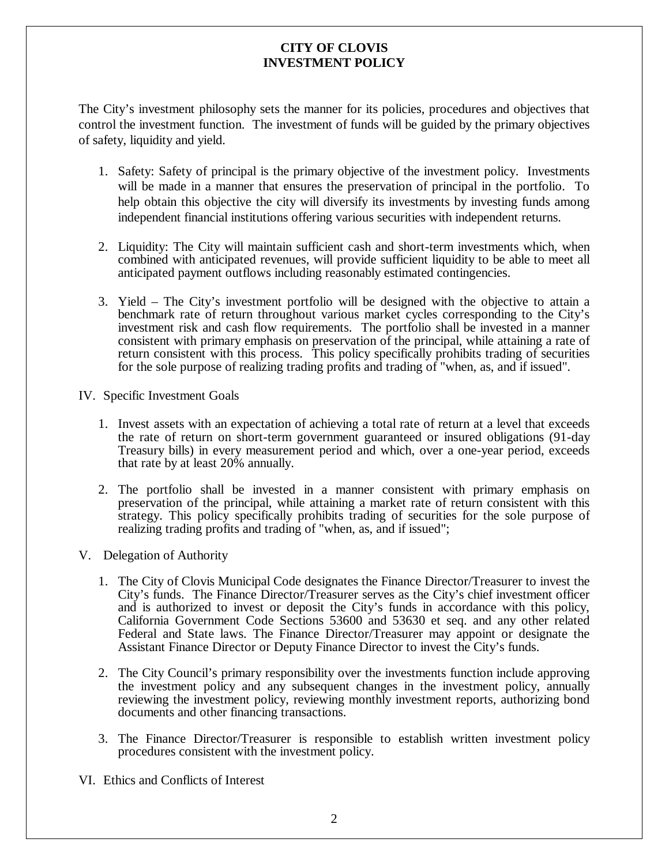The City's investment philosophy sets the manner for its policies, procedures and objectives that control the investment function. The investment of funds will be guided by the primary objectives of safety, liquidity and yield.

- 1. Safety: Safety of principal is the primary objective of the investment policy. Investments will be made in a manner that ensures the preservation of principal in the portfolio. To help obtain this objective the city will diversify its investments by investing funds among independent financial institutions offering various securities with independent returns.
- 2. Liquidity: The City will maintain sufficient cash and short-term investments which, when combined with anticipated revenues, will provide sufficient liquidity to be able to meet all anticipated payment outflows including reasonably estimated contingencies.
- 3. Yield The City's investment portfolio will be designed with the objective to attain a benchmark rate of return throughout various market cycles corresponding to the City's investment risk and cash flow requirements. The portfolio shall be invested in a manner consistent with primary emphasis on preservation of the principal, while attaining a rate of return consistent with this process. This policy specifically prohibits trading of securities for the sole purpose of realizing trading profits and trading of "when, as, and if issued".
- IV. Specific Investment Goals
	- 1. Invest assets with an expectation of achieving a total rate of return at a level that exceeds the rate of return on short-term government guaranteed or insured obligations (91-day Treasury bills) in every measurement period and which, over a one-year period, exceeds that rate by at least 20% annually.
	- 2. The portfolio shall be invested in a manner consistent with primary emphasis on preservation of the principal, while attaining a market rate of return consistent with this strategy. This policy specifically prohibits trading of securities for the sole purpose of realizing trading profits and trading of "when, as, and if issued";
- V. Delegation of Authority
	- 1. The City of Clovis Municipal Code designates the Finance Director/Treasurer to invest the City's funds. The Finance Director/Treasurer serves as the City's chief investment officer and is authorized to invest or deposit the City's funds in accordance with this policy, California Government Code Sections 53600 and 53630 et seq. and any other related Federal and State laws. The Finance Director/Treasurer may appoint or designate the Assistant Finance Director or Deputy Finance Director to invest the City's funds.
	- 2. The City Council's primary responsibility over the investments function include approving the investment policy and any subsequent changes in the investment policy, annually reviewing the investment policy, reviewing monthly investment reports, authorizing bond documents and other financing transactions.
	- 3. The Finance Director/Treasurer is responsible to establish written investment policy procedures consistent with the investment policy.
- VI. Ethics and Conflicts of Interest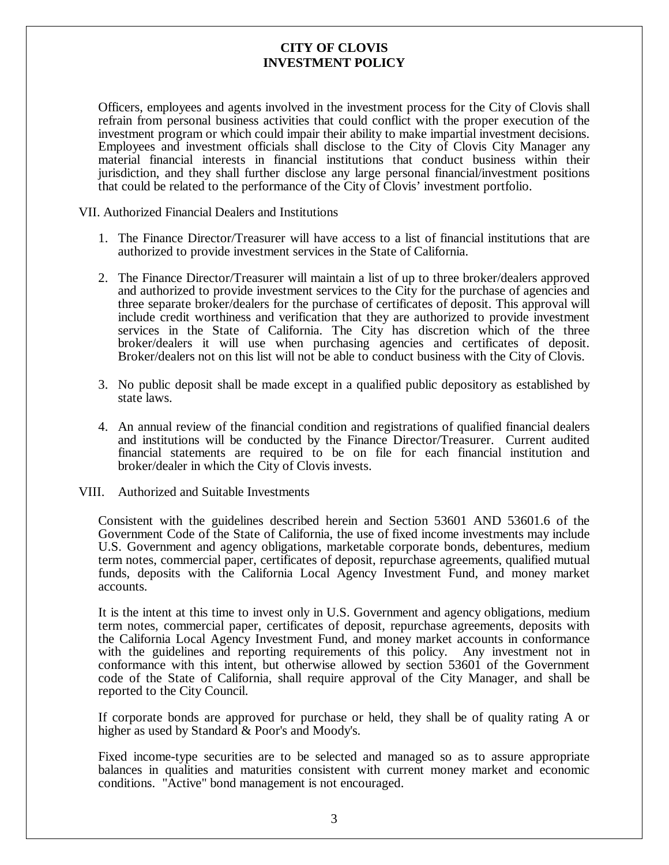Officers, employees and agents involved in the investment process for the City of Clovis shall refrain from personal business activities that could conflict with the proper execution of the investment program or which could impair their ability to make impartial investment decisions. Employees and investment officials shall disclose to the City of Clovis City Manager any material financial interests in financial institutions that conduct business within their jurisdiction, and they shall further disclose any large personal financial/investment positions that could be related to the performance of the City of Clovis' investment portfolio.

VII. Authorized Financial Dealers and Institutions

- 1. The Finance Director/Treasurer will have access to a list of financial institutions that are authorized to provide investment services in the State of California.
- 2. The Finance Director/Treasurer will maintain a list of up to three broker/dealers approved and authorized to provide investment services to the City for the purchase of agencies and three separate broker/dealers for the purchase of certificates of deposit. This approval will include credit worthiness and verification that they are authorized to provide investment services in the State of California. The City has discretion which of the three broker/dealers it will use when purchasing agencies and certificates of deposit. Broker/dealers not on this list will not be able to conduct business with the City of Clovis.
- 3. No public deposit shall be made except in a qualified public depository as established by state laws.
- 4. An annual review of the financial condition and registrations of qualified financial dealers and institutions will be conducted by the Finance Director/Treasurer. Current audited financial statements are required to be on file for each financial institution and broker/dealer in which the City of Clovis invests.
- VIII. Authorized and Suitable Investments

Consistent with the guidelines described herein and Section 53601 AND 53601.6 of the Government Code of the State of California, the use of fixed income investments may include U.S. Government and agency obligations, marketable corporate bonds, debentures, medium term notes, commercial paper, certificates of deposit, repurchase agreements, qualified mutual funds, deposits with the California Local Agency Investment Fund, and money market accounts.

It is the intent at this time to invest only in U.S. Government and agency obligations, medium term notes, commercial paper, certificates of deposit, repurchase agreements, deposits with the California Local Agency Investment Fund, and money market accounts in conformance with the guidelines and reporting requirements of this policy. Any investment not in conformance with this intent, but otherwise allowed by section 53601 of the Government code of the State of California, shall require approval of the City Manager, and shall be reported to the City Council.

If corporate bonds are approved for purchase or held, they shall be of quality rating A or higher as used by Standard & Poor's and Moody's.

Fixed income-type securities are to be selected and managed so as to assure appropriate balances in qualities and maturities consistent with current money market and economic conditions. "Active" bond management is not encouraged.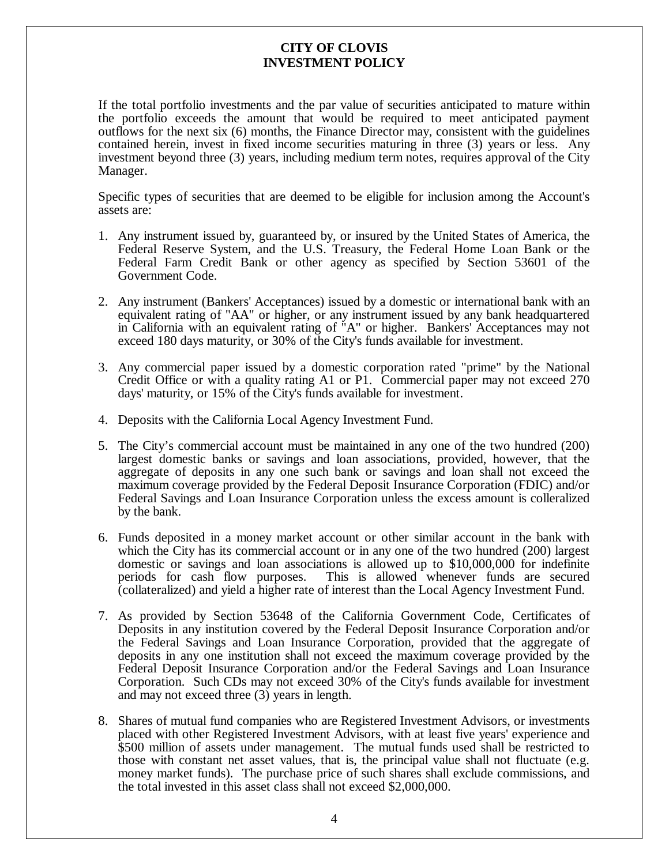If the total portfolio investments and the par value of securities anticipated to mature within the portfolio exceeds the amount that would be required to meet anticipated payment outflows for the next six (6) months, the Finance Director may, consistent with the guidelines contained herein, invest in fixed income securities maturing in three (3) years or less. Any investment beyond three (3) years, including medium term notes, requires approval of the City Manager.

Specific types of securities that are deemed to be eligible for inclusion among the Account's assets are:

- 1. Any instrument issued by, guaranteed by, or insured by the United States of America, the Federal Reserve System, and the U.S. Treasury, the Federal Home Loan Bank or the Federal Farm Credit Bank or other agency as specified by Section 53601 of the Government Code.
- 2. Any instrument (Bankers' Acceptances) issued by a domestic or international bank with an equivalent rating of "AA" or higher, or any instrument issued by any bank headquartered in California with an equivalent rating of "A" or higher. Bankers' Acceptances may not exceed 180 days maturity, or 30% of the City's funds available for investment.
- 3. Any commercial paper issued by a domestic corporation rated "prime" by the National Credit Office or with a quality rating A1 or P1. Commercial paper may not exceed 270 days' maturity, or 15% of the City's funds available for investment.
- 4. Deposits with the California Local Agency Investment Fund.
- 5. The City's commercial account must be maintained in any one of the two hundred (200) largest domestic banks or savings and loan associations, provided, however, that the aggregate of deposits in any one such bank or savings and loan shall not exceed the maximum coverage provided by the Federal Deposit Insurance Corporation (FDIC) and/or Federal Savings and Loan Insurance Corporation unless the excess amount is colleralized by the bank.
- 6. Funds deposited in a money market account or other similar account in the bank with which the City has its commercial account or in any one of the two hundred (200) largest domestic or savings and loan associations is allowed up to \$10,000,000 for indefinite periods for cash flow purposes. This is allowed whenever funds are secured This is allowed whenever funds are secured (collateralized) and yield a higher rate of interest than the Local Agency Investment Fund.
- 7. As provided by Section 53648 of the California Government Code, Certificates of Deposits in any institution covered by the Federal Deposit Insurance Corporation and/or the Federal Savings and Loan Insurance Corporation, provided that the aggregate of deposits in any one institution shall not exceed the maximum coverage provided by the Federal Deposit Insurance Corporation and/or the Federal Savings and Loan Insurance Corporation. Such CDs may not exceed 30% of the City's funds available for investment and may not exceed three (3) years in length.
- 8. Shares of mutual fund companies who are Registered Investment Advisors, or investments placed with other Registered Investment Advisors, with at least five years' experience and \$500 million of assets under management. The mutual funds used shall be restricted to those with constant net asset values, that is, the principal value shall not fluctuate (e.g. money market funds). The purchase price of such shares shall exclude commissions, and the total invested in this asset class shall not exceed \$2,000,000.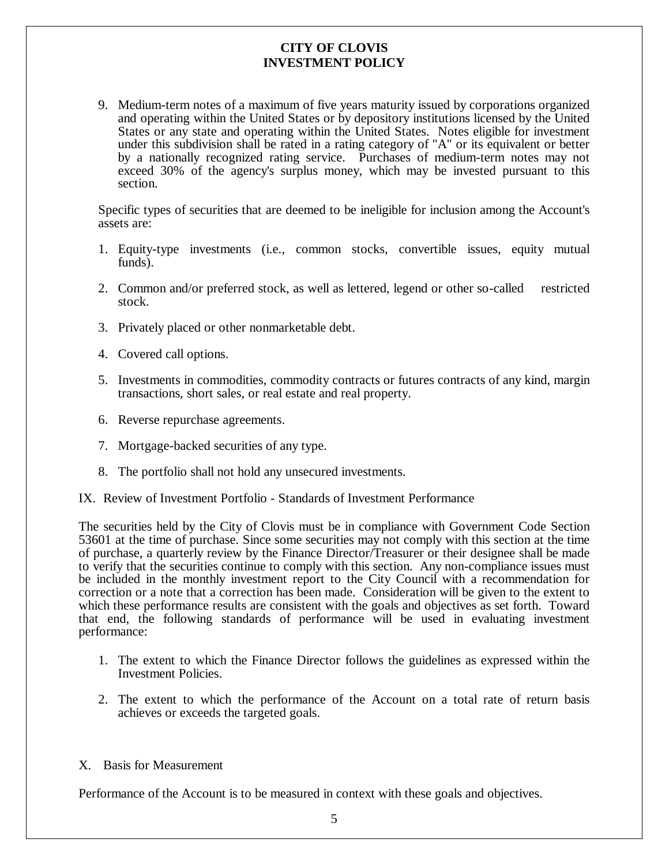9. Medium-term notes of a maximum of five years maturity issued by corporations organized and operating within the United States or by depository institutions licensed by the United States or any state and operating within the United States. Notes eligible for investment under this subdivision shall be rated in a rating category of "A" or its equivalent or better by a nationally recognized rating service. Purchases of medium-term notes may not exceed 30% of the agency's surplus money, which may be invested pursuant to this section.

Specific types of securities that are deemed to be ineligible for inclusion among the Account's assets are:

- 1. Equity-type investments (i.e., common stocks, convertible issues, equity mutual funds).
- 2. Common and/or preferred stock, as well as lettered, legend or other so-called restricted stock.
- 3. Privately placed or other nonmarketable debt.
- 4. Covered call options.
- 5. Investments in commodities, commodity contracts or futures contracts of any kind, margin transactions, short sales, or real estate and real property.
- 6. Reverse repurchase agreements.
- 7. Mortgage-backed securities of any type.
- 8. The portfolio shall not hold any unsecured investments.

IX. Review of Investment Portfolio - Standards of Investment Performance

The securities held by the City of Clovis must be in compliance with Government Code Section 53601 at the time of purchase. Since some securities may not comply with this section at the time of purchase, a quarterly review by the Finance Director/Treasurer or their designee shall be made to verify that the securities continue to comply with this section. Any non-compliance issues must be included in the monthly investment report to the City Council with a recommendation for correction or a note that a correction has been made. Consideration will be given to the extent to which these performance results are consistent with the goals and objectives as set forth. Toward that end, the following standards of performance will be used in evaluating investment performance:

- 1. The extent to which the Finance Director follows the guidelines as expressed within the Investment Policies.
- 2. The extent to which the performance of the Account on a total rate of return basis achieves or exceeds the targeted goals.
- X. Basis for Measurement

Performance of the Account is to be measured in context with these goals and objectives.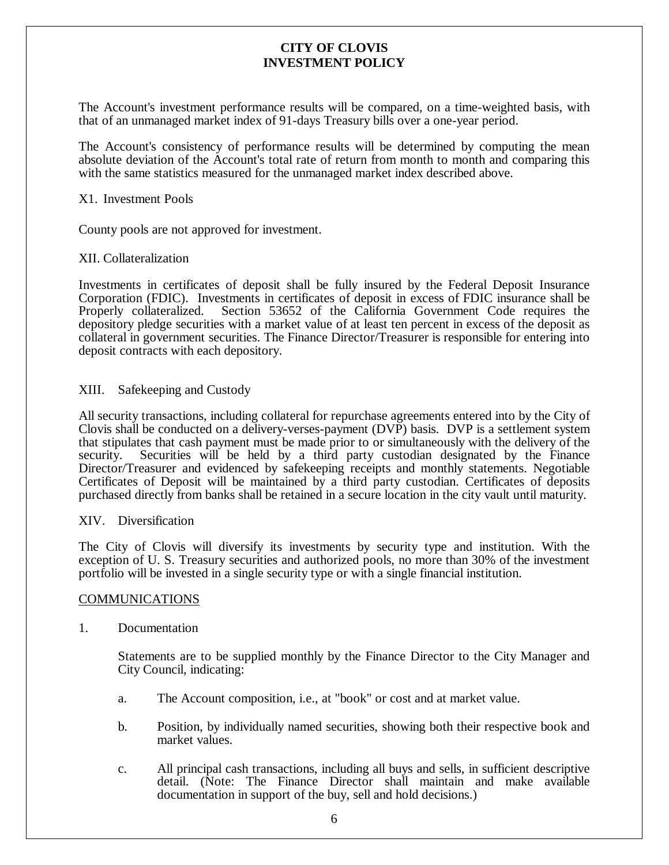The Account's investment performance results will be compared, on a time-weighted basis, with that of an unmanaged market index of 91-days Treasury bills over a one-year period.

The Account's consistency of performance results will be determined by computing the mean absolute deviation of the Account's total rate of return from month to month and comparing this with the same statistics measured for the unmanaged market index described above.

#### X1. Investment Pools

County pools are not approved for investment.

### XII. Collateralization

Investments in certificates of deposit shall be fully insured by the Federal Deposit Insurance Corporation (FDIC). Investments in certificates of deposit in excess of FDIC insurance shall be Properly collateralized. Section 53652 of the California Government Code requires the depository pledge securities with a market value of at least ten percent in excess of the deposit as collateral in government securities. The Finance Director/Treasurer is responsible for entering into deposit contracts with each depository.

XIII. Safekeeping and Custody

All security transactions, including collateral for repurchase agreements entered into by the City of Clovis shall be conducted on a delivery-verses-payment (DVP) basis. DVP is a settlement system that stipulates that cash payment must be made prior to or simultaneously with the delivery of the security. Securities will be held by a third party custodian designated by the Finance Director/Treasurer and evidenced by safekeeping receipts and monthly statements. Negotiable Certificates of Deposit will be maintained by a third party custodian. Certificates of deposits purchased directly from banks shall be retained in a secure location in the city vault until maturity.

#### XIV. Diversification

The City of Clovis will diversify its investments by security type and institution. With the exception of U. S. Treasury securities and authorized pools, no more than 30% of the investment portfolio will be invested in a single security type or with a single financial institution.

#### **COMMUNICATIONS**

1. Documentation

Statements are to be supplied monthly by the Finance Director to the City Manager and City Council, indicating:

- a. The Account composition, i.e., at "book" or cost and at market value.
- b. Position, by individually named securities, showing both their respective book and market values.
- c. All principal cash transactions, including all buys and sells, in sufficient descriptive detail. (Note: The Finance Director shall maintain and make available documentation in support of the buy, sell and hold decisions.)